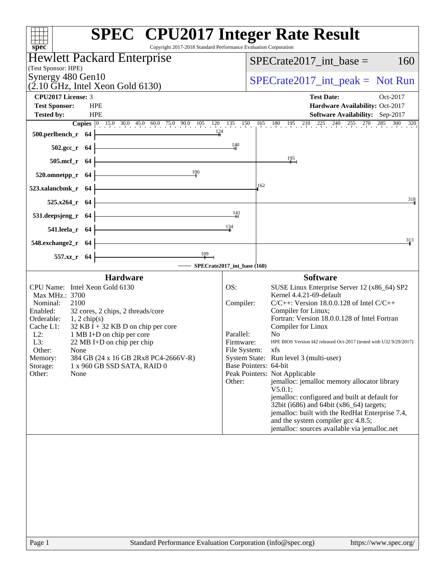| Copyright 2017-2018 Standard Performance Evaluation Corporation<br>$spec^*$                                                                                                                                                                                                                                                                                                                                                        | <b>SPEC<sup>®</sup></b> CPU2017 Integer Rate Result                                                                                                                                                                                                                                                                                                                                                                                                                                                                                                                                                                                                                                                                                                                                            |
|------------------------------------------------------------------------------------------------------------------------------------------------------------------------------------------------------------------------------------------------------------------------------------------------------------------------------------------------------------------------------------------------------------------------------------|------------------------------------------------------------------------------------------------------------------------------------------------------------------------------------------------------------------------------------------------------------------------------------------------------------------------------------------------------------------------------------------------------------------------------------------------------------------------------------------------------------------------------------------------------------------------------------------------------------------------------------------------------------------------------------------------------------------------------------------------------------------------------------------------|
| <b>Hewlett Packard Enterprise</b>                                                                                                                                                                                                                                                                                                                                                                                                  | $SPECrate2017$ _int_base =<br>160                                                                                                                                                                                                                                                                                                                                                                                                                                                                                                                                                                                                                                                                                                                                                              |
| (Test Sponsor: HPE)                                                                                                                                                                                                                                                                                                                                                                                                                |                                                                                                                                                                                                                                                                                                                                                                                                                                                                                                                                                                                                                                                                                                                                                                                                |
| Synergy 480 Gen10<br>$(2.10 \text{ GHz}, \text{Intel Xeon Gold } 6130)$                                                                                                                                                                                                                                                                                                                                                            | $SPECrate2017\_int\_peak = Not Run$                                                                                                                                                                                                                                                                                                                                                                                                                                                                                                                                                                                                                                                                                                                                                            |
| <b>CPU2017 License: 3</b>                                                                                                                                                                                                                                                                                                                                                                                                          | <b>Test Date:</b><br>Oct-2017                                                                                                                                                                                                                                                                                                                                                                                                                                                                                                                                                                                                                                                                                                                                                                  |
| <b>HPE</b><br><b>Test Sponsor:</b>                                                                                                                                                                                                                                                                                                                                                                                                 | Hardware Availability: Oct-2017                                                                                                                                                                                                                                                                                                                                                                                                                                                                                                                                                                                                                                                                                                                                                                |
| <b>HPE</b><br><b>Tested by:</b>                                                                                                                                                                                                                                                                                                                                                                                                    | Software Availability: Sep-2017<br><b>Copies</b> 0 15.0 30.0 45.0 60.0 75.0 90.0 105 120 135 150 165 180 195 210 225 240 255 270 285 300 320                                                                                                                                                                                                                                                                                                                                                                                                                                                                                                                                                                                                                                                   |
| 124<br>500.perlbench_r 64                                                                                                                                                                                                                                                                                                                                                                                                          |                                                                                                                                                                                                                                                                                                                                                                                                                                                                                                                                                                                                                                                                                                                                                                                                |
| 502.gcc_r 64                                                                                                                                                                                                                                                                                                                                                                                                                       | 140                                                                                                                                                                                                                                                                                                                                                                                                                                                                                                                                                                                                                                                                                                                                                                                            |
| 505.mcf_r 64                                                                                                                                                                                                                                                                                                                                                                                                                       | $\frac{195}{4}$                                                                                                                                                                                                                                                                                                                                                                                                                                                                                                                                                                                                                                                                                                                                                                                |
| 100<br>520.omnetpp_r 64                                                                                                                                                                                                                                                                                                                                                                                                            |                                                                                                                                                                                                                                                                                                                                                                                                                                                                                                                                                                                                                                                                                                                                                                                                |
| 523.xalancbmk_r 64                                                                                                                                                                                                                                                                                                                                                                                                                 | 162                                                                                                                                                                                                                                                                                                                                                                                                                                                                                                                                                                                                                                                                                                                                                                                            |
| 525.x264_r 64                                                                                                                                                                                                                                                                                                                                                                                                                      | 318                                                                                                                                                                                                                                                                                                                                                                                                                                                                                                                                                                                                                                                                                                                                                                                            |
| 531.deepsjeng_r 64                                                                                                                                                                                                                                                                                                                                                                                                                 | 141                                                                                                                                                                                                                                                                                                                                                                                                                                                                                                                                                                                                                                                                                                                                                                                            |
| 541.leela_r 64                                                                                                                                                                                                                                                                                                                                                                                                                     | 134                                                                                                                                                                                                                                                                                                                                                                                                                                                                                                                                                                                                                                                                                                                                                                                            |
| 548.exchange2_r 64                                                                                                                                                                                                                                                                                                                                                                                                                 | 313                                                                                                                                                                                                                                                                                                                                                                                                                                                                                                                                                                                                                                                                                                                                                                                            |
| $\frac{109}{1}$<br>557.xz_r 64                                                                                                                                                                                                                                                                                                                                                                                                     | - SPECrate2017_int_base (160)                                                                                                                                                                                                                                                                                                                                                                                                                                                                                                                                                                                                                                                                                                                                                                  |
| <b>Hardware</b>                                                                                                                                                                                                                                                                                                                                                                                                                    | <b>Software</b>                                                                                                                                                                                                                                                                                                                                                                                                                                                                                                                                                                                                                                                                                                                                                                                |
| CPU Name: Intel Xeon Gold 6130<br>Max MHz.: 3700<br>Nominal:<br>2100<br>32 cores, 2 chips, 2 threads/core<br>Enabled:<br>Orderable:<br>$1, 2$ chip(s)<br>Cache L1:<br>$32$ KB I + 32 KB D on chip per core<br>$L2$ :<br>1 MB I+D on chip per core<br>L3:<br>$22 \text{ MB I+D}$ on chip per chip<br>Other:<br>None<br>384 GB (24 x 16 GB 2Rx8 PC4-2666V-R)<br>Memory:<br>Storage:<br>1 x 960 GB SSD SATA, RAID 0<br>Other:<br>None | OS:<br>SUSE Linux Enterprise Server 12 (x86_64) SP2<br>Kernel 4.4.21-69-default<br>Compiler:<br>$C/C++$ : Version 18.0.0.128 of Intel $C/C++$<br>Compiler for Linux;<br>Fortran: Version 18.0.0.128 of Intel Fortran<br>Compiler for Linux<br>Parallel:<br>N <sub>0</sub><br>HPE BIOS Version I42 released Oct-2017 (tested with U32 9/29/2017)<br>Firmware:<br>File System: xfs<br>System State: Run level 3 (multi-user)<br>Base Pointers: 64-bit<br>Peak Pointers: Not Applicable<br>jemalloc: jemalloc memory allocator library<br>Other:<br>V5.0.1;<br>jemalloc: configured and built at default for<br>32bit (i686) and 64bit (x86_64) targets;<br>jemalloc: built with the RedHat Enterprise 7.4,<br>and the system compiler gcc 4.8.5;<br>jemalloc: sources available via jemalloc.net |
| Page 1<br>Standard Performance Evaluation Corporation (info@spec.org)                                                                                                                                                                                                                                                                                                                                                              | https://www.spec.org/                                                                                                                                                                                                                                                                                                                                                                                                                                                                                                                                                                                                                                                                                                                                                                          |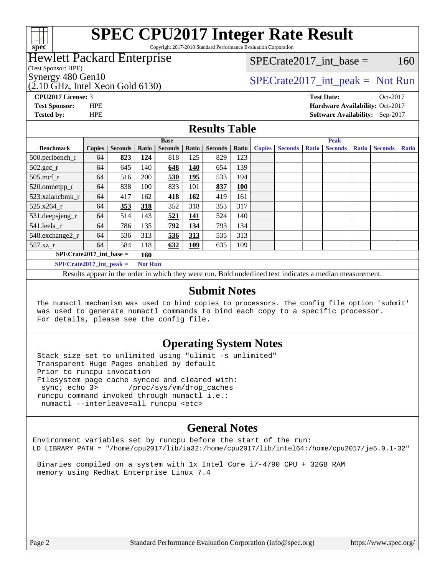

# **[SPEC CPU2017 Integer Rate Result](http://www.spec.org/auto/cpu2017/Docs/result-fields.html#SPECCPU2017IntegerRateResult)**

Copyright 2017-2018 Standard Performance Evaluation Corporation

# Hewlett Packard Enterprise

(Test Sponsor: HPE)

(2.10 GHz, Intel Xeon Gold 6130)

 $SPECTate2017\_int\_base = 160$ 

# Synergy 480 Gen10  $SPECrate2017$ \_int\_peak = Not Run

**[Tested by:](http://www.spec.org/auto/cpu2017/Docs/result-fields.html#Testedby)** HPE **[Software Availability:](http://www.spec.org/auto/cpu2017/Docs/result-fields.html#SoftwareAvailability)** Sep-2017

**[CPU2017 License:](http://www.spec.org/auto/cpu2017/Docs/result-fields.html#CPU2017License)** 3 **[Test Date:](http://www.spec.org/auto/cpu2017/Docs/result-fields.html#TestDate)** Oct-2017 **[Test Sponsor:](http://www.spec.org/auto/cpu2017/Docs/result-fields.html#TestSponsor)** HPE **[Hardware Availability:](http://www.spec.org/auto/cpu2017/Docs/result-fields.html#HardwareAvailability)** Oct-2017

### **[Results Table](http://www.spec.org/auto/cpu2017/Docs/result-fields.html#ResultsTable)**

|                           |                                             |                |       | <b>Base</b>    |            |                |            |               |                |              | <b>Peak</b>    |              |                |              |
|---------------------------|---------------------------------------------|----------------|-------|----------------|------------|----------------|------------|---------------|----------------|--------------|----------------|--------------|----------------|--------------|
| <b>Benchmark</b>          | <b>Copies</b>                               | <b>Seconds</b> | Ratio | <b>Seconds</b> | Ratio      | <b>Seconds</b> | Ratio      | <b>Copies</b> | <b>Seconds</b> | <b>Ratio</b> | <b>Seconds</b> | <b>Ratio</b> | <b>Seconds</b> | <b>Ratio</b> |
| 500.perlbench_r           | 64                                          | 823            | 124   | 818            | 125        | 829            | 123        |               |                |              |                |              |                |              |
| $502.\text{sec}$          | 64                                          | 645            | 140   | 648            | 140        | 654            | 139        |               |                |              |                |              |                |              |
| $505$ .mcf r              | 64                                          | 516            | 200   | 530            | 195        | 533            | 194        |               |                |              |                |              |                |              |
| 520.omnetpp_r             | 64                                          | 838            | 100   | 833            | 101        | 837            | <b>100</b> |               |                |              |                |              |                |              |
| 523.xalancbmk r           | 64                                          | 417            | 162   | 418            | 162        | 419            | 161        |               |                |              |                |              |                |              |
| 525.x264 r                | 64                                          | 353            | 318   | 352            | 318        | 353            | 317        |               |                |              |                |              |                |              |
| 531.deepsjeng_r           | 64                                          | 514            | 143   | 521            | <u>141</u> | 524            | 140        |               |                |              |                |              |                |              |
| 541.leela r               | 64                                          | 786            | 135   | 792            | 134        | 793            | 134        |               |                |              |                |              |                |              |
| 548.exchange2_r           | 64                                          | 536            | 313   | 536            | 313        | 535            | 313        |               |                |              |                |              |                |              |
| $557.xz$ _r               | 64                                          | 584            | 118   | 632            | <u>109</u> | 635            | 109        |               |                |              |                |              |                |              |
| $SPECrate2017$ int base = |                                             |                | 160   |                |            |                |            |               |                |              |                |              |                |              |
|                           | <b>Not Run</b><br>$SPECrate2017$ int peak = |                |       |                |            |                |            |               |                |              |                |              |                |              |

Results appear in the [order in which they were run](http://www.spec.org/auto/cpu2017/Docs/result-fields.html#RunOrder). Bold underlined text [indicates a median measurement](http://www.spec.org/auto/cpu2017/Docs/result-fields.html#Median).

#### **[Submit Notes](http://www.spec.org/auto/cpu2017/Docs/result-fields.html#SubmitNotes)**

 The numactl mechanism was used to bind copies to processors. The config file option 'submit' was used to generate numactl commands to bind each copy to a specific processor. For details, please see the config file.

### **[Operating System Notes](http://www.spec.org/auto/cpu2017/Docs/result-fields.html#OperatingSystemNotes)**

 Stack size set to unlimited using "ulimit -s unlimited" Transparent Huge Pages enabled by default Prior to runcpu invocation Filesystem page cache synced and cleared with: sync; echo 3> /proc/sys/vm/drop\_caches runcpu command invoked through numactl i.e.: numactl --interleave=all runcpu <etc>

### **[General Notes](http://www.spec.org/auto/cpu2017/Docs/result-fields.html#GeneralNotes)**

Environment variables set by runcpu before the start of the run: LD\_LIBRARY\_PATH = "/home/cpu2017/lib/ia32:/home/cpu2017/lib/intel64:/home/cpu2017/je5.0.1-32"

 Binaries compiled on a system with 1x Intel Core i7-4790 CPU + 32GB RAM memory using Redhat Enterprise Linux 7.4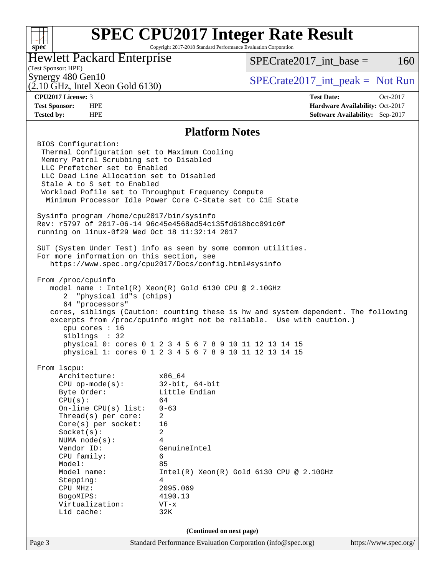#### **[SPEC CPU2017 Integer Rate Result](http://www.spec.org/auto/cpu2017/Docs/result-fields.html#SPECCPU2017IntegerRateResult)**  $+\!\!+\!\!$ Copyright 2017-2018 Standard Performance Evaluation Corporation **[spec](http://www.spec.org/)** Hewlett Packard Enterprise  $SPECTate2017\_int\_base = 160$ (Test Sponsor: HPE) Synergy 480 Gen10<br>  $SPECrate2017$ \_int\_peak = Not Run (2.10 GHz, Intel Xeon Gold 6130) **[CPU2017 License:](http://www.spec.org/auto/cpu2017/Docs/result-fields.html#CPU2017License)** 3 **[Test Date:](http://www.spec.org/auto/cpu2017/Docs/result-fields.html#TestDate)** Oct-2017 **[Test Sponsor:](http://www.spec.org/auto/cpu2017/Docs/result-fields.html#TestSponsor)** HPE **[Hardware Availability:](http://www.spec.org/auto/cpu2017/Docs/result-fields.html#HardwareAvailability)** Oct-2017 **[Tested by:](http://www.spec.org/auto/cpu2017/Docs/result-fields.html#Testedby)** HPE **[Software Availability:](http://www.spec.org/auto/cpu2017/Docs/result-fields.html#SoftwareAvailability)** Sep-2017 **[Platform Notes](http://www.spec.org/auto/cpu2017/Docs/result-fields.html#PlatformNotes)** BIOS Configuration: Thermal Configuration set to Maximum Cooling Memory Patrol Scrubbing set to Disabled LLC Prefetcher set to Enabled LLC Dead Line Allocation set to Disabled Stale A to S set to Enabled Workload Pofile set to Throughput Frequency Compute Minimum Processor Idle Power Core C-State set to C1E State Sysinfo program /home/cpu2017/bin/sysinfo Rev: r5797 of 2017-06-14 96c45e4568ad54c135fd618bcc091c0f running on linux-0f29 Wed Oct 18 11:32:14 2017 SUT (System Under Test) info as seen by some common utilities. For more information on this section, see <https://www.spec.org/cpu2017/Docs/config.html#sysinfo> From /proc/cpuinfo model name : Intel(R) Xeon(R) Gold 6130 CPU @ 2.10GHz 2 "physical id"s (chips) 64 "processors" cores, siblings (Caution: counting these is hw and system dependent. The following excerpts from /proc/cpuinfo might not be reliable. Use with caution.) cpu cores : 16 siblings : 32 physical 0: cores 0 1 2 3 4 5 6 7 8 9 10 11 12 13 14 15 physical 1: cores 0 1 2 3 4 5 6 7 8 9 10 11 12 13 14 15 From lscpu: Architecture: x86\_64 CPU op-mode(s): 32-bit, 64-bit Byte Order: Little Endian  $CPU(s):$  64 On-line CPU(s) list: 0-63 Thread(s) per core: 2 Core(s) per socket: 16 Socket(s): 2 NUMA node(s): 4 Vendor ID: GenuineIntel CPU family: 6 Model: 85 Model name: Intel(R) Xeon(R) Gold 6130 CPU @ 2.10GHz Stepping: 4 CPU MHz: 2095.069 BogoMIPS: 4190.13 Virtualization: VT-x L1d cache: 32K **(Continued on next page)**Page 3 Standard Performance Evaluation Corporation [\(info@spec.org\)](mailto:info@spec.org) <https://www.spec.org/>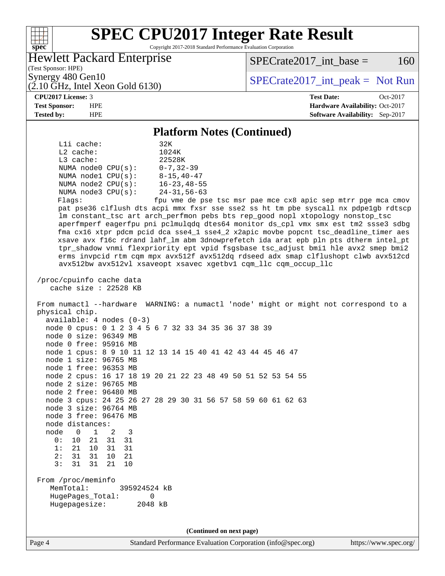### **[SPEC CPU2017 Integer Rate Result](http://www.spec.org/auto/cpu2017/Docs/result-fields.html#SPECCPU2017IntegerRateResult)** Copyright 2017-2018 Standard Performance Evaluation Corporation

# Hewlett Packard Enterprise

 $SPECTate2017\_int\_base = 160$ 

(Test Sponsor: HPE)  $(2.10 \text{ GHz}, \text{Intel Xeon Gold } 6130)$ 

Synergy 480 Gen10<br>  $\begin{array}{r} \text{SPECTate2017\_int\_peak} = \text{Not Run} \\ \text{SPECTate2017\_int\_peak} = \text{Not Run} \end{array}$ 

**[spec](http://www.spec.org/)**

**[CPU2017 License:](http://www.spec.org/auto/cpu2017/Docs/result-fields.html#CPU2017License)** 3 **[Test Date:](http://www.spec.org/auto/cpu2017/Docs/result-fields.html#TestDate)** Oct-2017 **[Test Sponsor:](http://www.spec.org/auto/cpu2017/Docs/result-fields.html#TestSponsor)** HPE **[Hardware Availability:](http://www.spec.org/auto/cpu2017/Docs/result-fields.html#HardwareAvailability)** Oct-2017 **[Tested by:](http://www.spec.org/auto/cpu2017/Docs/result-fields.html#Testedby)** HPE **[Software Availability:](http://www.spec.org/auto/cpu2017/Docs/result-fields.html#SoftwareAvailability)** Sep-2017

#### **[Platform Notes \(Continued\)](http://www.spec.org/auto/cpu2017/Docs/result-fields.html#PlatformNotes)**

| Lli cache:<br>32K<br>1024K<br>$L2$ cache:<br>L3 cache:<br>22528K<br>NUMA node0 $CPU(s): 0-7, 32-39$<br>$8 - 15, 40 - 47$<br>NUMA $node1$ $CPU(s):$<br>NUMA node2 CPU(s):<br>$16 - 23, 48 - 55$<br>NUMA $node3$ $CPU(s):$<br>24-31,56-63<br>fpu vme de pse tsc msr pae mce cx8 apic sep mtrr pge mca cmov<br>Flags:<br>pat pse36 clflush dts acpi mmx fxsr sse sse2 ss ht tm pbe syscall nx pdpe1gb rdtscp<br>lm constant_tsc art arch_perfmon pebs bts rep_good nopl xtopology nonstop_tsc<br>aperfmperf eagerfpu pni pclmulqdq dtes64 monitor ds_cpl vmx smx est tm2 ssse3 sdbg<br>fma cx16 xtpr pdcm pcid dca sse4_1 sse4_2 x2apic movbe popcnt tsc_deadline_timer aes<br>xsave avx f16c rdrand lahf_lm abm 3dnowprefetch ida arat epb pln pts dtherm intel_pt<br>tpr_shadow vnmi flexpriority ept vpid fsgsbase tsc_adjust bmil hle avx2 smep bmi2<br>erms invpcid rtm cqm mpx avx512f avx512dq rdseed adx smap clflushopt clwb avx512cd<br>avx512bw avx512vl xsaveopt xsavec xgetbvl cqm_llc cqm_occup_llc<br>/proc/cpuinfo cache data |  |
|--------------------------------------------------------------------------------------------------------------------------------------------------------------------------------------------------------------------------------------------------------------------------------------------------------------------------------------------------------------------------------------------------------------------------------------------------------------------------------------------------------------------------------------------------------------------------------------------------------------------------------------------------------------------------------------------------------------------------------------------------------------------------------------------------------------------------------------------------------------------------------------------------------------------------------------------------------------------------------------------------------------------------------------------|--|
| cache size : 22528 KB                                                                                                                                                                                                                                                                                                                                                                                                                                                                                                                                                                                                                                                                                                                                                                                                                                                                                                                                                                                                                      |  |
| From numactl --hardware WARNING: a numactl 'node' might or might not correspond to a<br>physical chip.<br>$available: 4 nodes (0-3)$<br>node 0 cpus: 0 1 2 3 4 5 6 7 32 33 34 35 36 37 38 39<br>node 0 size: 96349 MB<br>node 0 free: 95916 MB<br>node 1 cpus: 8 9 10 11 12 13 14 15 40 41 42 43 44 45 46 47<br>node 1 size: 96765 MB<br>node 1 free: 96353 MB<br>node 2 cpus: 16 17 18 19 20 21 22 23 48 49 50 51 52 53 54 55<br>node 2 size: 96765 MB<br>node 2 free: 96480 MB<br>node 3 cpus: 24 25 26 27 28 29 30 31 56 57 58 59 60 61 62 63<br>node 3 size: 96764 MB<br>node 3 free: 96476 MB<br>node distances:<br>node 0 1 2<br>$\overline{\phantom{a}}$<br>0: 10 21 31 31<br>1:<br>21 10 31<br>31<br>31<br>2:<br>31<br>10<br>21<br>31<br>31<br>21<br>3:<br>10                                                                                                                                                                                                                                                                      |  |
|                                                                                                                                                                                                                                                                                                                                                                                                                                                                                                                                                                                                                                                                                                                                                                                                                                                                                                                                                                                                                                            |  |
| From /proc/meminfo<br>MemTotal:<br>395924524 KB<br>HugePages_Total:<br>0<br>Hugepagesize:<br>2048 kB                                                                                                                                                                                                                                                                                                                                                                                                                                                                                                                                                                                                                                                                                                                                                                                                                                                                                                                                       |  |
| (Continued on next page)                                                                                                                                                                                                                                                                                                                                                                                                                                                                                                                                                                                                                                                                                                                                                                                                                                                                                                                                                                                                                   |  |
|                                                                                                                                                                                                                                                                                                                                                                                                                                                                                                                                                                                                                                                                                                                                                                                                                                                                                                                                                                                                                                            |  |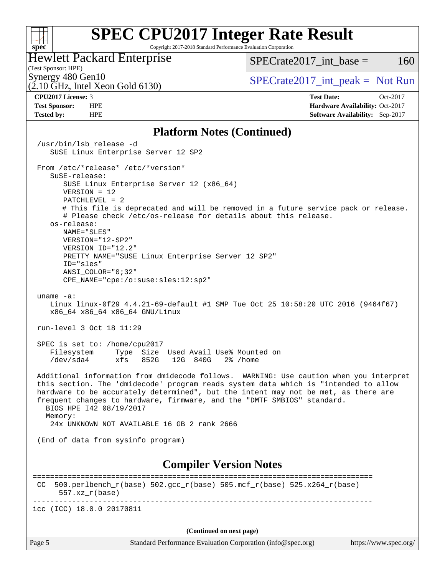#### **[SPEC CPU2017 Integer Rate Result](http://www.spec.org/auto/cpu2017/Docs/result-fields.html#SPECCPU2017IntegerRateResult)**  $+\!\!+\!\!$ **[spec](http://www.spec.org/)** Copyright 2017-2018 Standard Performance Evaluation Corporation Hewlett Packard Enterprise (Test Sponsor: HPE)

(2.10 GHz, Intel Xeon Gold 6130)

 $SPECTate2017\_int\_base = 160$ 

Synergy 480 Gen10<br>  $SPECrate2017$ \_int\_peak = Not Run

**[CPU2017 License:](http://www.spec.org/auto/cpu2017/Docs/result-fields.html#CPU2017License)** 3 **[Test Date:](http://www.spec.org/auto/cpu2017/Docs/result-fields.html#TestDate)** Oct-2017 **[Test Sponsor:](http://www.spec.org/auto/cpu2017/Docs/result-fields.html#TestSponsor)** HPE **[Hardware Availability:](http://www.spec.org/auto/cpu2017/Docs/result-fields.html#HardwareAvailability)** Oct-2017 **[Tested by:](http://www.spec.org/auto/cpu2017/Docs/result-fields.html#Testedby)** HPE **[Software Availability:](http://www.spec.org/auto/cpu2017/Docs/result-fields.html#SoftwareAvailability)** Sep-2017

#### **[Platform Notes \(Continued\)](http://www.spec.org/auto/cpu2017/Docs/result-fields.html#PlatformNotes)**

 /usr/bin/lsb\_release -d SUSE Linux Enterprise Server 12 SP2 From /etc/\*release\* /etc/\*version\* SuSE-release: SUSE Linux Enterprise Server 12 (x86\_64) VERSION = 12 PATCHLEVEL = 2 # This file is deprecated and will be removed in a future service pack or release. # Please check /etc/os-release for details about this release. os-release: NAME="SLES" VERSION="12-SP2" VERSION\_ID="12.2" PRETTY\_NAME="SUSE Linux Enterprise Server 12 SP2" ID="sles" ANSI\_COLOR="0;32" CPE\_NAME="cpe:/o:suse:sles:12:sp2" uname -a: Linux linux-0f29 4.4.21-69-default #1 SMP Tue Oct 25 10:58:20 UTC 2016 (9464f67) x86\_64 x86\_64 x86\_64 GNU/Linux run-level 3 Oct 18 11:29 SPEC is set to: /home/cpu2017 Filesystem Type Size Used Avail Use% Mounted on /dev/sda4 xfs 852G 12G 840G 2% /home Additional information from dmidecode follows. WARNING: Use caution when you interpret this section. The 'dmidecode' program reads system data which is "intended to allow hardware to be accurately determined", but the intent may not be met, as there are frequent changes to hardware, firmware, and the "DMTF SMBIOS" standard. BIOS HPE I42 08/19/2017 Memory: 24x UNKNOWN NOT AVAILABLE 16 GB 2 rank 2666 (End of data from sysinfo program) **[Compiler Version Notes](http://www.spec.org/auto/cpu2017/Docs/result-fields.html#CompilerVersionNotes)** ============================================================================== CC 500.perlbench  $r(base)$  502.gcc  $r(base)$  505.mcf  $r(base)$  525.x264  $r(base)$  557.xz\_r(base) ----------------------------------------------------------------------------- icc (ICC) 18.0.0 20170811

**(Continued on next page)**

Page 5 Standard Performance Evaluation Corporation [\(info@spec.org\)](mailto:info@spec.org) <https://www.spec.org/>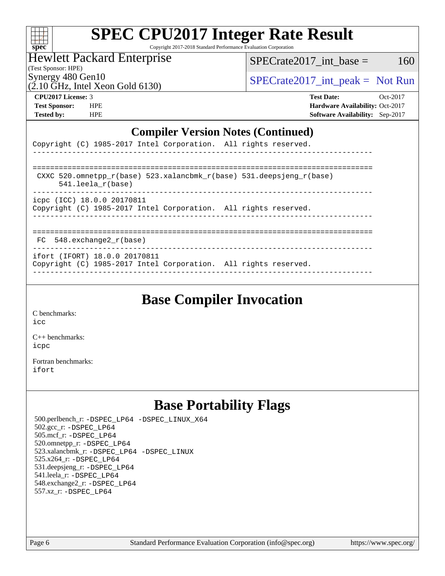| Sυ<br>E<br>U |  |  |  |  |  |  |
|--------------|--|--|--|--|--|--|

# **[SPEC CPU2017 Integer Rate Result](http://www.spec.org/auto/cpu2017/Docs/result-fields.html#SPECCPU2017IntegerRateResult)**

Copyright 2017-2018 Standard Performance Evaluation Corporation

## Hewlett Packard Enterprise

 $SPECTate2017\_int\_base = 160$ 

(Test Sponsor: HPE) Synergy 480 Gen10<br>(2.10 GHz, Intel Xeon Gold 6130)

 $SPECTate2017\_int\_peak = Not Run$ 

**[CPU2017 License:](http://www.spec.org/auto/cpu2017/Docs/result-fields.html#CPU2017License)** 3 **[Test Date:](http://www.spec.org/auto/cpu2017/Docs/result-fields.html#TestDate)** Oct-2017 **[Test Sponsor:](http://www.spec.org/auto/cpu2017/Docs/result-fields.html#TestSponsor)** HPE **[Hardware Availability:](http://www.spec.org/auto/cpu2017/Docs/result-fields.html#HardwareAvailability)** Oct-2017 **[Tested by:](http://www.spec.org/auto/cpu2017/Docs/result-fields.html#Testedby)** HPE **[Software Availability:](http://www.spec.org/auto/cpu2017/Docs/result-fields.html#SoftwareAvailability)** Sep-2017

### **[Compiler Version Notes \(Continued\)](http://www.spec.org/auto/cpu2017/Docs/result-fields.html#CompilerVersionNotes)**

| $\mathbf{C}$                                                                                       |
|----------------------------------------------------------------------------------------------------|
| Copyright (C) 1985-2017 Intel Corporation. All rights reserved.                                    |
|                                                                                                    |
| CXXC 520.omnetpp $r(base)$ 523.xalancbmk $r(base)$ 531.deepsjeng $r(base)$<br>$541.$ leela r(base) |
| icpc (ICC) 18.0.0 20170811<br>Copyright (C) 1985-2017 Intel Corporation. All rights reserved.      |
|                                                                                                    |
| $FC$ 548. exchange 2 $r(base)$                                                                     |

----------------------------------------------------------------------------- ifort (IFORT) 18.0.0 20170811

Copyright (C) 1985-2017 Intel Corporation. All rights reserved. ------------------------------------------------------------------------------

# **[Base Compiler Invocation](http://www.spec.org/auto/cpu2017/Docs/result-fields.html#BaseCompilerInvocation)**

[C benchmarks](http://www.spec.org/auto/cpu2017/Docs/result-fields.html#Cbenchmarks):  $i$ cc

[C++ benchmarks:](http://www.spec.org/auto/cpu2017/Docs/result-fields.html#CXXbenchmarks) [icpc](http://www.spec.org/cpu2017/results/res2017q4/cpu2017-20171031-00321.flags.html#user_CXXbase_intel_icpc_18.0_c510b6838c7f56d33e37e94d029a35b4a7bccf4766a728ee175e80a419847e808290a9b78be685c44ab727ea267ec2f070ec5dc83b407c0218cded6866a35d07)

[Fortran benchmarks](http://www.spec.org/auto/cpu2017/Docs/result-fields.html#Fortranbenchmarks): [ifort](http://www.spec.org/cpu2017/results/res2017q4/cpu2017-20171031-00321.flags.html#user_FCbase_intel_ifort_18.0_8111460550e3ca792625aed983ce982f94888b8b503583aa7ba2b8303487b4d8a21a13e7191a45c5fd58ff318f48f9492884d4413fa793fd88dd292cad7027ca)

# **[Base Portability Flags](http://www.spec.org/auto/cpu2017/Docs/result-fields.html#BasePortabilityFlags)**

 500.perlbench\_r: [-DSPEC\\_LP64](http://www.spec.org/cpu2017/results/res2017q4/cpu2017-20171031-00321.flags.html#b500.perlbench_r_basePORTABILITY_DSPEC_LP64) [-DSPEC\\_LINUX\\_X64](http://www.spec.org/cpu2017/results/res2017q4/cpu2017-20171031-00321.flags.html#b500.perlbench_r_baseCPORTABILITY_DSPEC_LINUX_X64) 502.gcc\_r: [-DSPEC\\_LP64](http://www.spec.org/cpu2017/results/res2017q4/cpu2017-20171031-00321.flags.html#suite_basePORTABILITY502_gcc_r_DSPEC_LP64) 505.mcf\_r: [-DSPEC\\_LP64](http://www.spec.org/cpu2017/results/res2017q4/cpu2017-20171031-00321.flags.html#suite_basePORTABILITY505_mcf_r_DSPEC_LP64) 520.omnetpp\_r: [-DSPEC\\_LP64](http://www.spec.org/cpu2017/results/res2017q4/cpu2017-20171031-00321.flags.html#suite_basePORTABILITY520_omnetpp_r_DSPEC_LP64) 523.xalancbmk\_r: [-DSPEC\\_LP64](http://www.spec.org/cpu2017/results/res2017q4/cpu2017-20171031-00321.flags.html#suite_basePORTABILITY523_xalancbmk_r_DSPEC_LP64) [-DSPEC\\_LINUX](http://www.spec.org/cpu2017/results/res2017q4/cpu2017-20171031-00321.flags.html#b523.xalancbmk_r_baseCXXPORTABILITY_DSPEC_LINUX) 525.x264\_r: [-DSPEC\\_LP64](http://www.spec.org/cpu2017/results/res2017q4/cpu2017-20171031-00321.flags.html#suite_basePORTABILITY525_x264_r_DSPEC_LP64) 531.deepsjeng\_r: [-DSPEC\\_LP64](http://www.spec.org/cpu2017/results/res2017q4/cpu2017-20171031-00321.flags.html#suite_basePORTABILITY531_deepsjeng_r_DSPEC_LP64) 541.leela\_r: [-DSPEC\\_LP64](http://www.spec.org/cpu2017/results/res2017q4/cpu2017-20171031-00321.flags.html#suite_basePORTABILITY541_leela_r_DSPEC_LP64) 548.exchange2\_r: [-DSPEC\\_LP64](http://www.spec.org/cpu2017/results/res2017q4/cpu2017-20171031-00321.flags.html#suite_basePORTABILITY548_exchange2_r_DSPEC_LP64) 557.xz\_r: [-DSPEC\\_LP64](http://www.spec.org/cpu2017/results/res2017q4/cpu2017-20171031-00321.flags.html#suite_basePORTABILITY557_xz_r_DSPEC_LP64)